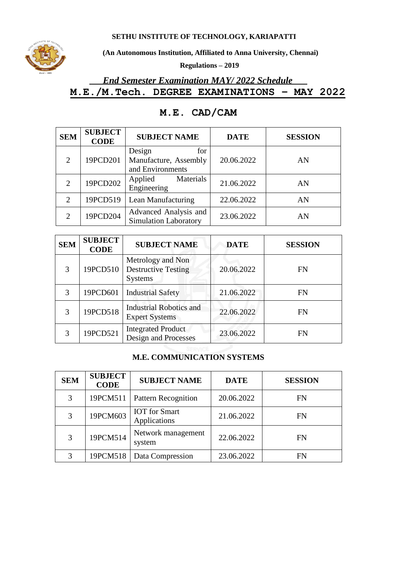**SETHU INSTITUTE OF TECHNOLOGY, KARIAPATTI**



**(An Autonomous Institution, Affiliated to Anna University, Chennai)**

**Regulations – 2019**

# *End Semester Examination MAY/ 2022 Schedule*  **M.E./M.Tech. DEGREE EXAMINATIONS – MAY 2022**

| <b>SEM</b>                  | <b>SUBJECT</b><br><b>CODE</b> | <b>SUBJECT NAME</b>                                        | <b>DATE</b> | <b>SESSION</b> |
|-----------------------------|-------------------------------|------------------------------------------------------------|-------------|----------------|
| 2                           | 19PCD201                      | Design<br>for<br>Manufacture, Assembly<br>and Environments | 20.06.2022  | AN             |
| $\overline{2}$              | 19PCD202                      | Applied<br>Materials<br>Engineering                        | 21.06.2022  | AN             |
| $\overline{2}$              | 19PCD519                      | Lean Manufacturing                                         | 22.06.2022  | AN             |
| $\mathcal{D}_{\mathcal{L}}$ | 19PCD204                      | Advanced Analysis and<br>Simulation Laboratory             | 23.06.2022  | AN             |

## **M.E. CAD/CAM**

| <b>SEM</b> | <b>SUBJECT</b><br><b>CODE</b> | <b>SUBJECT NAME</b>                                               | <b>DATE</b> | <b>SESSION</b> |
|------------|-------------------------------|-------------------------------------------------------------------|-------------|----------------|
| 3          | 19PCD510                      | Metrology and Non<br><b>Destructive Testing</b><br><b>Systems</b> | 20.06.2022  | <b>FN</b>      |
| 3          | 19PCD601                      | <b>Industrial Safety</b>                                          | 21.06.2022  | <b>FN</b>      |
| 3          | 19PCD518                      | <b>Industrial Robotics and</b><br><b>Expert Systems</b>           | 22.06.2022  | FN             |
| 3          | 19PCD521                      | <b>Integrated Product</b><br>Design and Processes                 | 23.06.2022  | <b>FN</b>      |

#### **M.E. COMMUNICATION SYSTEMS**

| <b>SEM</b> | <b>SUBJECT</b><br><b>CODE</b> | <b>SUBJECT NAME</b>                  | <b>DATE</b> | <b>SESSION</b> |
|------------|-------------------------------|--------------------------------------|-------------|----------------|
| 3          | 19PCM511                      | <b>Pattern Recognition</b>           | 20.06.2022  | FN             |
| 3          | 19PCM603                      | <b>IOT</b> for Smart<br>Applications | 21.06.2022  | FN             |
| 3          | 19PCM514                      | Network management<br>system         | 22.06.2022  | FN             |
| 3          | 19PCM518                      | Data Compression                     | 23.06.2022  | FN             |